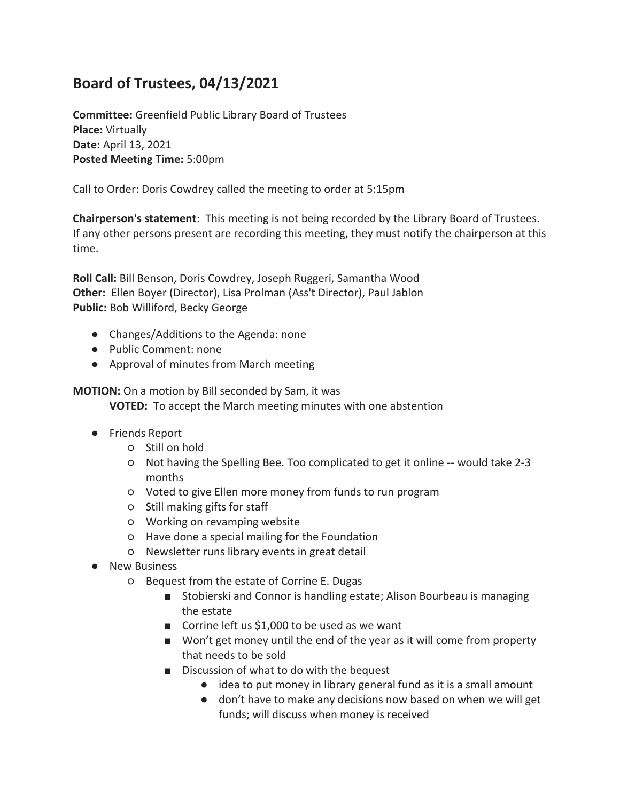## **Board of Trustees, 04/13/2021**

**Committee:** Greenfield Public Library Board of Trustees **Place:** Virtually **Date:** April 13, 2021 **Posted Meeting Time:** 5:00pm

Call to Order: Doris Cowdrey called the meeting to order at 5:15pm

**Chairperson's statement**: This meeting is not being recorded by the Library Board of Trustees. If any other persons present are recording this meeting, they must notify the chairperson at this time.

**Roll Call:** Bill Benson, Doris Cowdrey, Joseph Ruggeri, Samantha Wood **Other:** Ellen Boyer (Director), Lisa Prolman (Ass't Director), Paul Jablon **Public:** Bob Williford, Becky George

- Changes/Additions to the Agenda: none
- Public Comment: none
- Approval of minutes from March meeting

**MOTION:** On a motion by Bill seconded by Sam, it was **VOTED:** To accept the March meeting minutes with one abstention

- Friends Report
	- Still on hold
	- Not having the Spelling Bee. Too complicated to get it online -- would take 2-3 months
	- Voted to give Ellen more money from funds to run program
	- Still making gifts for staff
	- Working on revamping website
	- Have done a special mailing for the Foundation
	- Newsletter runs library events in great detail
- New Business
	- Bequest from the estate of Corrine E. Dugas
		- Stobierski and Connor is handling estate; Alison Bourbeau is managing the estate
		- Corrine left us \$1,000 to be used as we want
		- Won't get money until the end of the year as it will come from property that needs to be sold
		- Discussion of what to do with the bequest
			- idea to put money in library general fund as it is a small amount
			- don't have to make any decisions now based on when we will get funds; will discuss when money is received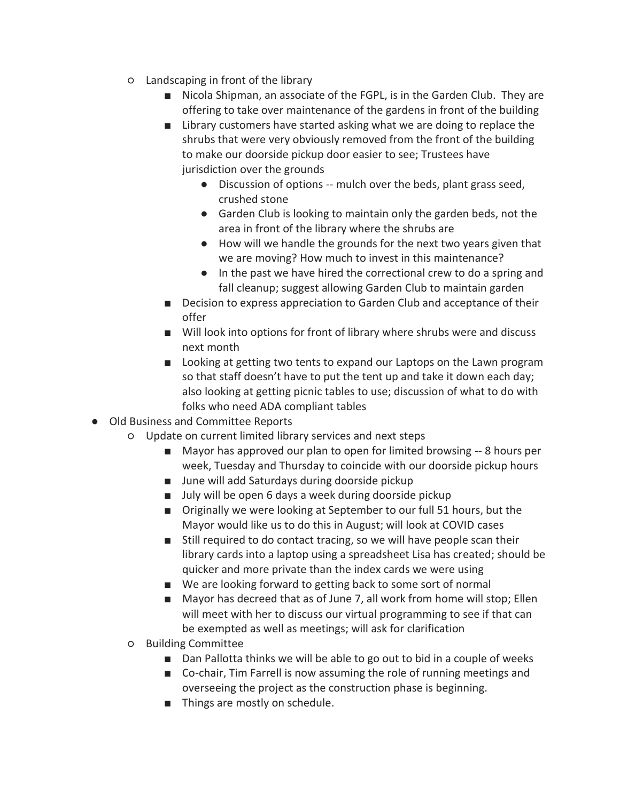- Landscaping in front of the library
	- Nicola Shipman, an associate of the FGPL, is in the Garden Club. They are offering to take over maintenance of the gardens in front of the building
	- Library customers have started asking what we are doing to replace the shrubs that were very obviously removed from the front of the building to make our doorside pickup door easier to see; Trustees have jurisdiction over the grounds
		- Discussion of options -- mulch over the beds, plant grass seed, crushed stone
		- Garden Club is looking to maintain only the garden beds, not the area in front of the library where the shrubs are
		- How will we handle the grounds for the next two years given that we are moving? How much to invest in this maintenance?
		- In the past we have hired the correctional crew to do a spring and fall cleanup; suggest allowing Garden Club to maintain garden
	- Decision to express appreciation to Garden Club and acceptance of their offer
	- Will look into options for front of library where shrubs were and discuss next month
	- Looking at getting two tents to expand our Laptops on the Lawn program so that staff doesn't have to put the tent up and take it down each day; also looking at getting picnic tables to use; discussion of what to do with folks who need ADA compliant tables
- Old Business and Committee Reports
	- Update on current limited library services and next steps
		- Mayor has approved our plan to open for limited browsing -- 8 hours per week, Tuesday and Thursday to coincide with our doorside pickup hours
		- June will add Saturdays during doorside pickup
		- July will be open 6 days a week during doorside pickup
		- Originally we were looking at September to our full 51 hours, but the Mayor would like us to do this in August; will look at COVID cases
		- Still required to do contact tracing, so we will have people scan their library cards into a laptop using a spreadsheet Lisa has created; should be quicker and more private than the index cards we were using
		- We are looking forward to getting back to some sort of normal
		- Mayor has decreed that as of June 7, all work from home will stop; Ellen will meet with her to discuss our virtual programming to see if that can be exempted as well as meetings; will ask for clarification
	- Building Committee
		- Dan Pallotta thinks we will be able to go out to bid in a couple of weeks
		- Co-chair, Tim Farrell is now assuming the role of running meetings and overseeing the project as the construction phase is beginning.
		- Things are mostly on schedule.